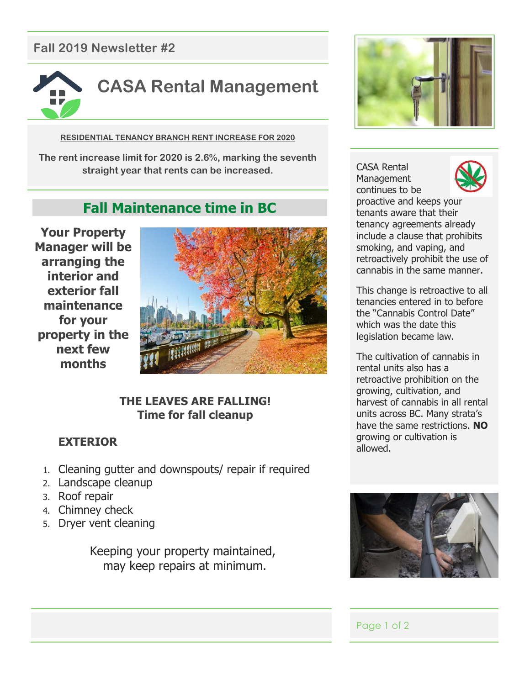## **Fall 2019 Newsletter #2**



**RESIDENTIAL TENANCY BRANCH RENT INCREASE FOR 2020**

**The rent increase limit for 2020 is 2.6%, marking the seventh straight year that rents can be increased.**

# **Fall Maintenance time in BC**

**Your Property Manager will be arranging the interior and exterior fall maintenance for your property in the next few months** 



## **THE LEAVES ARE FALLING! Time for fall cleanup**

## **EXTERIOR**

- 1. Cleaning gutter and downspouts/ repair if required
- 2. Landscape cleanup
- 3. Roof repair
- 4. Chimney check
- 5. Dryer vent cleaning

Keeping your property maintained, may keep repairs at minimum.



CASA Rental Management continues to be



proactive and keeps your tenants aware that their tenancy agreements already include a clause that prohibits smoking, and vaping, and retroactively prohibit the use of cannabis in the same manner.

This change is retroactive to all tenancies entered in to before the "Cannabis Control Date" which was the date this legislation became law.

The cultivation of cannabis in rental units also has a retroactive prohibition on the growing, cultivation, and harvest of cannabis in all rental units across BC. Many strata's have the same restrictions. **NO** growing or cultivation is allowed.



## Page 1 of 2